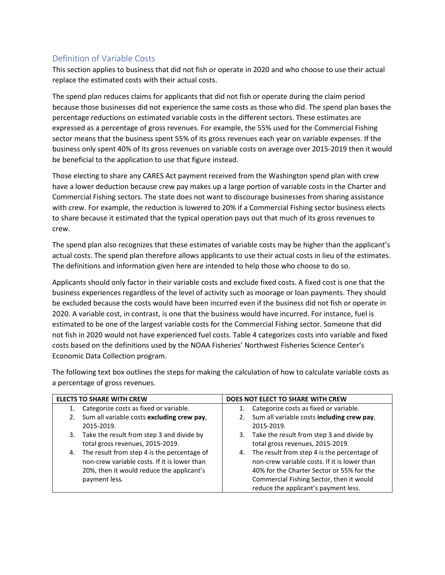## Definition of Variable Costs

This section applies to business that did not fish or operate in 2020 and who choose to use their actual replace the estimated costs with their actual costs.

The spend plan reduces claims for applicants that did not fish or operate during the claim period because those businesses did not experience the same costs as those who did. The spend plan bases the percentage reductions on estimated variable costs in the different sectors. These estimates are expressed as a percentage of gross revenues. For example, the 55% used for the Commercial Fishing sector means that the business spent 55% of its gross revenues each year on variable expenses. If the business only spent 40% of its gross revenues on variable costs on average over 2015-2019 then it would be beneficial to the application to use that figure instead.

Those electing to share any CARES Act payment received from the Washington spend plan with crew have a lower deduction because crew pay makes up a large portion of variable costs in the Charter and Commercial Fishing sectors. The state does not want to discourage businesses from sharing assistance with crew. For example, the reduction is lowered to 20% if a Commercial Fishing sector business elects to share because it estimated that the typical operation pays out that much of its gross revenues to crew.

The spend plan also recognizes that these estimates of variable costs may be higher than the applicant's actual costs. The spend plan therefore allows applicants to use their actual costs in lieu of the estimates. The definitions and information given here are intended to help those who choose to do so.

Applicants should only factor in their variable costs and exclude fixed costs. A fixed cost is one that the business experiences regardless of the level of activity such as moorage or loan payments. They should be excluded because the costs would have been incurred even if the business did not fish or operate in 2020. A variable cost, in contrast, is one that the business would have incurred. For instance, fuel is estimated to be one of the largest variable costs for the Commercial Fishing sector. Someone that did not fish in 2020 would not have experienced fuel costs. [Table 4](#page-0-0) categorizes costs into variable and fixed costs based on the definitions used by the NOAA Fisheries' Northwest Fisheries Science Center's Economic Data Collection program.

The following text box outlines the steps for making the calculation of how to calculate variable costs as a percentage of gross revenues.

<span id="page-0-0"></span>

| <b>ELECTS TO SHARE WITH CREW</b> |                                                                                                                                                           | DOES NOT ELECT TO SHARE WITH CREW |                                                                                                                                                                                                                              |  |
|----------------------------------|-----------------------------------------------------------------------------------------------------------------------------------------------------------|-----------------------------------|------------------------------------------------------------------------------------------------------------------------------------------------------------------------------------------------------------------------------|--|
|                                  | Categorize costs as fixed or variable.                                                                                                                    |                                   | Categorize costs as fixed or variable.                                                                                                                                                                                       |  |
| 2.                               | Sum all variable costs excluding crew pay,<br>2015-2019.                                                                                                  | 2.                                | Sum all variable costs including crew pay,<br>2015-2019.                                                                                                                                                                     |  |
| 3.                               | Take the result from step 3 and divide by<br>total gross revenues, 2015-2019.                                                                             |                                   | 3. Take the result from step 3 and divide by<br>total gross revenues, 2015-2019.                                                                                                                                             |  |
| 4.                               | The result from step 4 is the percentage of<br>non-crew variable costs. If it is lower than<br>20%, then it would reduce the applicant's<br>payment less. | 4.                                | The result from step 4 is the percentage of<br>non-crew variable costs. If it is lower than<br>40% for the Charter Sector or 55% for the<br>Commercial Fishing Sector, then it would<br>reduce the applicant's payment less. |  |